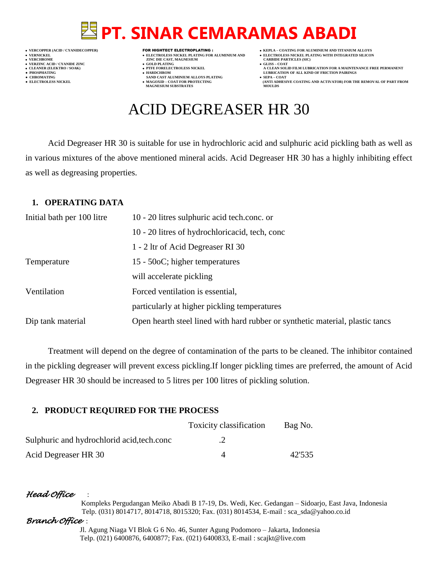# **PT. SINAR CEMARAMAS ABADI**

- 
- 

**VERT ASSESSED ASSESSED ASSESSED ASSESSED ASSESSED ASSESSED ASSESSED ASSESSED ASSESSED ASSESSED ASSESSED ASSESSED ASSESSED ASSESSED ASSESSED ASSESSED ASSESSED ASSESSED ASSESSED ASSESSED ASSESSED ASSESSED ASSESSED ASSESSED** 

- **VERZINC ACID / CYANIDE ZINC GOLD PLATING GLISS – COAT**
	-
- **● CHROMATING SAND CAST ALUMINIUM ALLOYS PLATING SEPA – COAT MAGNESIUM SUBSTRATES MOULDS**
- **VERCOPPER (ACID / CYANIDECOPPER)** FOR HIGHTECT ELECTROPLATING :  **KEPLA – COATING FOR ALUMINIUM AND TITANIUM ALLOYS**
- **VERNICKEL ELECTROLESS NICKEL PLATING FOR ALUMINIUM AND ELECTROLESS NICKEL PLATING WITH INTEGRATED SILICON**
	-
- **CLEANER (ELEKTRO / SOAK) PTFE FORELECTROLESS NICKEL A CLEAN SOLID FILM LUBRICATION FOR A MAINTENANCE FREE PERMANENT ● PHOSPHATING HARDCHROM LUBRICATION OF ALL KIND OF FRICTION PAIRINGS**
- **● ELECTROLESS NICKEL MAGOXID – COAT FOR PROTECTING (ANTI ADHESIVE COATING AND ACTIVATOR) FOR THE REMOVAL OF PART FROM**

## ACID DEGREASER HR 30

Acid Degreaser HR 30 is suitable for use in hydrochloric acid and sulphuric acid pickling bath as well as in various mixtures of the above mentioned mineral acids. Acid Degreaser HR 30 has a highly inhibiting effect as well as degreasing properties.

### **1. OPERATING DATA**

| Initial bath per 100 litre | 10 - 20 litres sulphuric acid tech.conc. or                                   |  |
|----------------------------|-------------------------------------------------------------------------------|--|
|                            | 10 - 20 litres of hydrochloricacid, tech, conc                                |  |
|                            | 1 - 2 ltr of Acid Degreaser RI 30                                             |  |
| Temperature                | 15 - 50 oC; higher temperatures                                               |  |
|                            | will accelerate pickling                                                      |  |
| Ventilation                | Forced ventilation is essential,                                              |  |
|                            | particularly at higher pickling temperatures                                  |  |
| Dip tank material          | Open hearth steel lined with hard rubber or synthetic material, plastic tancs |  |

Treatment will depend on the degree of contamination of the parts to be cleaned. The inhibitor contained in the pickling degreaser will prevent excess pickling.If longer pickling times are preferred, the amount of Acid Degreaser HR 30 should be increased to 5 litres per 100 litres of pickling solution.

### **2. PRODUCT REQUIRED FOR THE PROCESS**

|                                            | Toxicity classification | Bag No. |
|--------------------------------------------|-------------------------|---------|
| Sulphuric and hydrochlorid acid, tech.conc |                         |         |
| Acid Degreaser HR 30                       |                         | 42'535  |

### *Head Office* :

 Kompleks Pergudangan Meiko Abadi B 17-19, Ds. Wedi, Kec. Gedangan – Sidoarjo, East Java, Indonesia Telp. (031) 8014717, 8014718, 8015320; Fax. (031) 8014534, E-mail : sca\_sda@yahoo.co.id

#### *Branch Office* :

 Jl. Agung Niaga VI Blok G 6 No. 46, Sunter Agung Podomoro – Jakarta, Indonesia Telp. (021) 6400876, 6400877; Fax. (021) 6400833, E-mail : scajkt@live.com